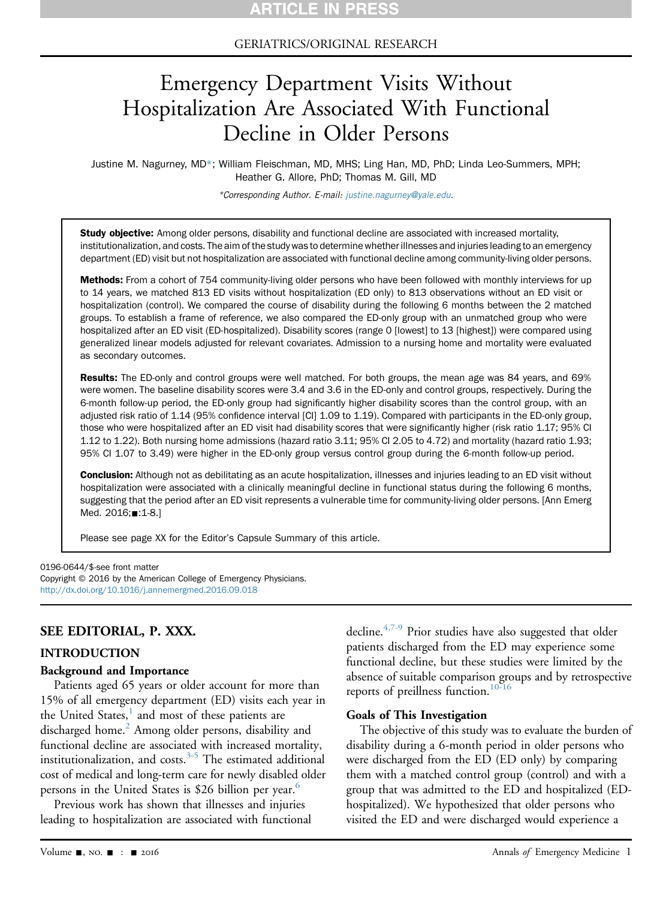GERIATRICS/ORIGINAL RESEARCH

# Emergency Department Visits Without Hospitalization Are Associated With Functional Decline in Older Persons

Justine M. Nagurney, MD\*; William Fleischman, MD, MHS; Ling Han, MD, PhD; Linda Leo-Summers, MPH; Heather G. Allore, PhD; Thomas M. Gill, MD

\*Corresponding Author. E-mail: [justine.nagurney@yale.edu](mailto:justine.nagurney@yale.edu).

Study objective: Among older persons, disability and functional decline are associated with increased mortality, institutionalization, and costs. The aim of the study was to determine whether illnesses and injuries leading to an emergency department (ED) visit but not hospitalization are associated with functional decline among community-living older persons.

Methods: From a cohort of 754 community-living older persons who have been followed with monthly interviews for up to 14 years, we matched 813 ED visits without hospitalization (ED only) to 813 observations without an ED visit or hospitalization (control). We compared the course of disability during the following 6 months between the 2 matched groups. To establish a frame of reference, we also compared the ED-only group with an unmatched group who were hospitalized after an ED visit (ED-hospitalized). Disability scores (range 0 [lowest] to 13 [highest]) were compared using generalized linear models adjusted for relevant covariates. Admission to a nursing home and mortality were evaluated as secondary outcomes.

Results: The ED-only and control groups were well matched. For both groups, the mean age was 84 years, and 69% were women. The baseline disability scores were 3.4 and 3.6 in the ED-only and control groups, respectively. During the 6-month follow-up period, the ED-only group had significantly higher disability scores than the control group, with an adjusted risk ratio of 1.14 (95% confidence interval [CI] 1.09 to 1.19). Compared with participants in the ED-only group, those who were hospitalized after an ED visit had disability scores that were significantly higher (risk ratio 1.17; 95% CI 1.12 to 1.22). Both nursing home admissions (hazard ratio 3.11; 95% CI 2.05 to 4.72) and mortality (hazard ratio 1.93; 95% CI 1.07 to 3.49) were higher in the ED-only group versus control group during the 6-month follow-up period.

Conclusion: Although not as debilitating as an acute hospitalization, illnesses and injuries leading to an ED visit without hospitalization were associated with a clinically meaningful decline in functional status during the following 6 months, suggesting that the period after an ED visit represents a vulnerable time for community-living older persons. [Ann Emerg Med. 2016;**■**:1-8.]

Please see page XX for the Editor's Capsule Summary of this article.

0196-0644/\$-see front matter

Copyright © 2016 by the American College of Emergency Physicians. <http://dx.doi.org/10.1016/j.annemergmed.2016.09.018>

## SEE EDITORIAL, P. XXX.

#### INTRODUCTION

#### Background and Importance

Patients aged 65 years or older account for more than 15% of all emergency department (ED) visits each year in the United States,<sup>[1](#page-6-0)</sup> and most of these patients are discharged home.<sup>2</sup> Among older persons, disability and functional decline are associated with increased mortality, institutionalization, and costs. $3-5$  The estimated additional cost of medical and long-term care for newly disabled older persons in the United States is \$2[6](#page-7-0) billion per year.<sup>6</sup>

Previous work has shown that illnesses and injuries leading to hospitalization are associated with functional decline.[4,7-9](#page-7-1) Prior studies have also suggested that older patients discharged from the ED may experience some functional decline, but these studies were limited by the absence of suitable comparison groups and by retrospective reports of preillness function.<sup>[10-16](#page-7-2)</sup>

#### Goals of This Investigation

The objective of this study was to evaluate the burden of disability during a 6-month period in older persons who were discharged from the ED (ED only) by comparing them with a matched control group (control) and with a group that was admitted to the ED and hospitalized (EDhospitalized). We hypothesized that older persons who visited the ED and were discharged would experience a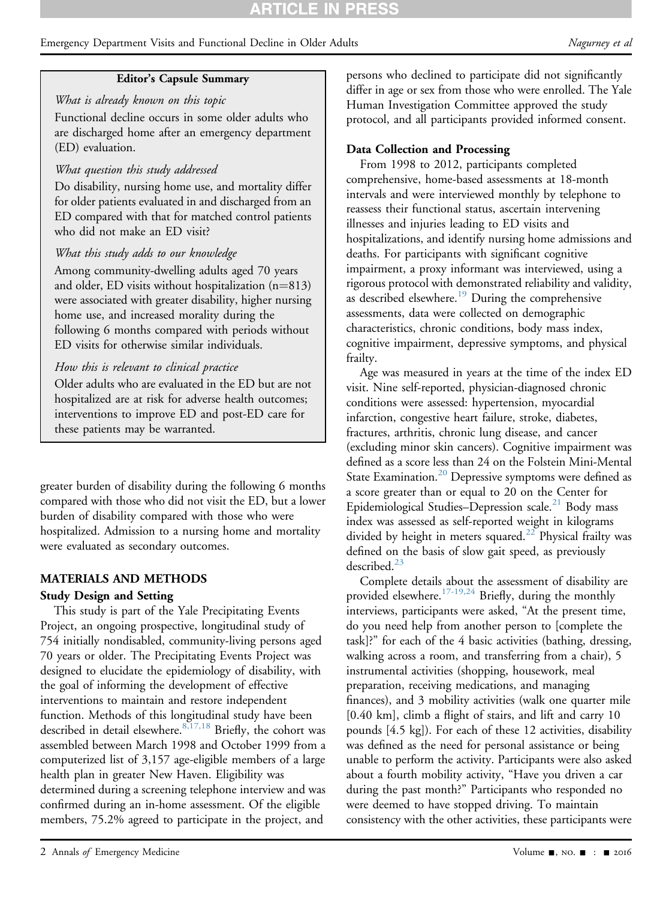# Editor's Capsule Summary

# What is already known on this topic

Functional decline occurs in some older adults who are discharged home after an emergency department (ED) evaluation.

# What question this study addressed

Do disability, nursing home use, and mortality differ for older patients evaluated in and discharged from an ED compared with that for matched control patients who did not make an ED visit?

# What this study adds to our knowledge

Among community-dwelling adults aged 70 years and older, ED visits without hospitalization  $(n=813)$ were associated with greater disability, higher nursing home use, and increased morality during the following 6 months compared with periods without ED visits for otherwise similar individuals.

# How this is relevant to clinical practice

Older adults who are evaluated in the ED but are not hospitalized are at risk for adverse health outcomes; interventions to improve ED and post-ED care for these patients may be warranted.

greater burden of disability during the following 6 months compared with those who did not visit the ED, but a lower burden of disability compared with those who were hospitalized. Admission to a nursing home and mortality were evaluated as secondary outcomes.

# MATERIALS AND METHODS

# Study Design and Setting

This study is part of the Yale Precipitating Events Project, an ongoing prospective, longitudinal study of 754 initially nondisabled, community-living persons aged 70 years or older. The Precipitating Events Project was designed to elucidate the epidemiology of disability, with the goal of informing the development of effective interventions to maintain and restore independent function. Methods of this longitudinal study have been described in detail elsewhere.<sup>[8,17,18](#page-7-3)</sup> Briefly, the cohort was assembled between March 1998 and October 1999 from a computerized list of 3,157 age-eligible members of a large health plan in greater New Haven. Eligibility was determined during a screening telephone interview and was confirmed during an in-home assessment. Of the eligible members, 75.2% agreed to participate in the project, and

persons who declined to participate did not significantly differ in age or sex from those who were enrolled. The Yale Human Investigation Committee approved the study protocol, and all participants provided informed consent.

# Data Collection and Processing

From 1998 to 2012, participants completed comprehensive, home-based assessments at 18-month intervals and were interviewed monthly by telephone to reassess their functional status, ascertain intervening illnesses and injuries leading to ED visits and hospitalizations, and identify nursing home admissions and deaths. For participants with significant cognitive impairment, a proxy informant was interviewed, using a rigorous protocol with demonstrated reliability and validity, as described elsewhere.<sup>[19](#page-7-4)</sup> During the comprehensive assessments, data were collected on demographic characteristics, chronic conditions, body mass index, cognitive impairment, depressive symptoms, and physical frailty.

Age was measured in years at the time of the index ED visit. Nine self-reported, physician-diagnosed chronic conditions were assessed: hypertension, myocardial infarction, congestive heart failure, stroke, diabetes, fractures, arthritis, chronic lung disease, and cancer (excluding minor skin cancers). Cognitive impairment was defined as a score less than 24 on the Folstein Mini-Mental State Examination.<sup>[20](#page-7-5)</sup> Depressive symptoms were defined as a score greater than or equal to 20 on the Center for Epidemiological Studies–Depression scale.<sup>[21](#page-7-6)</sup> Body mass index was assessed as self-reported weight in kilograms divided by height in meters squared.<sup>[22](#page-7-7)</sup> Physical frailty was defined on the basis of slow gait speed, as previously described. $^{23}$ 

Complete details about the assessment of disability are provided elsewhere.<sup>[17-19,24](#page-7-9)</sup> Briefly, during the monthly interviews, participants were asked, "At the present time, do you need help from another person to [complete the task]?" for each of the 4 basic activities (bathing, dressing, walking across a room, and transferring from a chair), 5 instrumental activities (shopping, housework, meal preparation, receiving medications, and managing finances), and 3 mobility activities (walk one quarter mile [0.40 km], climb a flight of stairs, and lift and carry 10 pounds [4.5 kg]). For each of these 12 activities, disability was defined as the need for personal assistance or being unable to perform the activity. Participants were also asked about a fourth mobility activity, "Have you driven a car during the past month?" Participants who responded no were deemed to have stopped driving. To maintain consistency with the other activities, these participants were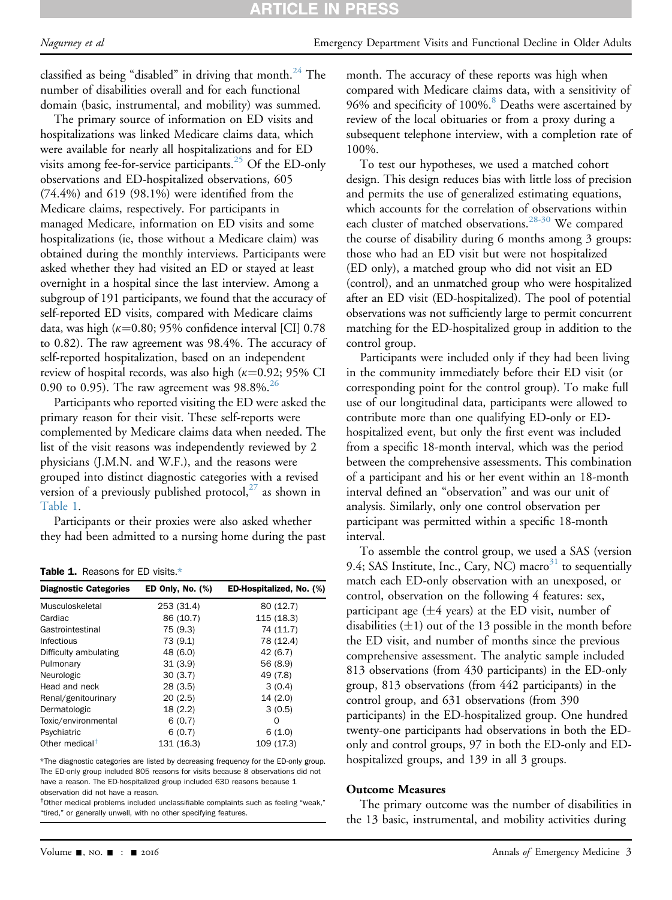classified as being "disabled" in driving that month.<sup>[24](#page-7-10)</sup> The number of disabilities overall and for each functional domain (basic, instrumental, and mobility) was summed.

The primary source of information on ED visits and hospitalizations was linked Medicare claims data, which were available for nearly all hospitalizations and for ED visits among fee-for-service participants.<sup>[25](#page-7-11)</sup> Of the ED-only observations and ED-hospitalized observations, 605 (74.4%) and 619 (98.1%) were identified from the Medicare claims, respectively. For participants in managed Medicare, information on ED visits and some hospitalizations (ie, those without a Medicare claim) was obtained during the monthly interviews. Participants were asked whether they had visited an ED or stayed at least overnight in a hospital since the last interview. Among a subgroup of 191 participants, we found that the accuracy of self-reported ED visits, compared with Medicare claims data, was high ( $\kappa$ =0.80; 95% confidence interval [CI] 0.78 to 0.82). The raw agreement was 98.4%. The accuracy of self-reported hospitalization, based on an independent review of hospital records, was also high  $(k=0.92; 95\% \text{ CI}$ 0.90 to 0.95). The raw agreement was 98.8%.<sup>[26](#page-7-12)</sup>

Participants who reported visiting the ED were asked the primary reason for their visit. These self-reports were complemented by Medicare claims data when needed. The list of the visit reasons was independently reviewed by 2 physicians (J.M.N. and W.F.), and the reasons were grouped into distinct diagnostic categories with a revised version of a previously published protocol, $^{27}$  $^{27}$  $^{27}$  as shown in [Table 1.](#page-2-0)

Participants or their proxies were also asked whether they had been admitted to a nursing home during the past

<span id="page-2-0"></span>Table 1. Reasons for ED visits[.\\*](#page-2-1)

| <b>ED Only, No. (%)</b> | ED-Hospitalized, No. (%) |
|-------------------------|--------------------------|
| 253 (31.4)              | 80 (12.7)                |
| 86 (10.7)               | 115 (18.3)               |
| 75 (9.3)                | 74 (11.7)                |
| 73 (9.1)                | 78 (12.4)                |
| 48 (6.0)                | 42 (6.7)                 |
| 31(3.9)                 | 56 (8.9)                 |
| 30(3.7)                 | 49 (7.8)                 |
| 28(3.5)                 | 3(0.4)                   |
| 20(2.5)                 | 14(2.0)                  |
| 18(2.2)                 | 3(0.5)                   |
| 6(0.7)                  | Ω                        |
| 6(0.7)                  | 6(1.0)                   |
| 131 (16.3)              | 109 (17.3)               |
|                         |                          |

<span id="page-2-1"></span>\*The diagnostic categories are listed by decreasing frequency for the ED-only group. The ED-only group included 805 reasons for visits because 8 observations did not have a reason. The ED-hospitalized group included 630 reasons because 1 observation did not have a reason.

<span id="page-2-2"></span>† Other medical problems included unclassifiable complaints such as feeling "weak," "tired," or generally unwell, with no other specifying features.

month. The accuracy of these reports was high when compared with Medicare claims data, with a sensitivity of 96% and specificity of 100%.<sup>[8](#page-7-3)</sup> Deaths were ascertained by review of the local obituaries or from a proxy during a subsequent telephone interview, with a completion rate of 100%.

To test our hypotheses, we used a matched cohort design. This design reduces bias with little loss of precision and permits the use of generalized estimating equations, which accounts for the correlation of observations within each cluster of matched observations.<sup>[28-30](#page-7-14)</sup> We compared the course of disability during 6 months among 3 groups: those who had an ED visit but were not hospitalized (ED only), a matched group who did not visit an ED (control), and an unmatched group who were hospitalized after an ED visit (ED-hospitalized). The pool of potential observations was not sufficiently large to permit concurrent matching for the ED-hospitalized group in addition to the control group.

Participants were included only if they had been living in the community immediately before their ED visit (or corresponding point for the control group). To make full use of our longitudinal data, participants were allowed to contribute more than one qualifying ED-only or EDhospitalized event, but only the first event was included from a specific 18-month interval, which was the period between the comprehensive assessments. This combination of a participant and his or her event within an 18-month interval defined an "observation" and was our unit of analysis. Similarly, only one control observation per participant was permitted within a specific 18-month interval.

To assemble the control group, we used a SAS (version 9.4; SAS Institute, Inc., Cary, NC) macro $31$  to sequentially match each ED-only observation with an unexposed, or control, observation on the following 4 features: sex, participant age  $(\pm 4$  years) at the ED visit, number of disabilities  $(\pm 1)$  out of the 13 possible in the month before the ED visit, and number of months since the previous comprehensive assessment. The analytic sample included 813 observations (from 430 participants) in the ED-only group, 813 observations (from 442 participants) in the control group, and 631 observations (from 390 participants) in the ED-hospitalized group. One hundred twenty-one participants had observations in both the EDonly and control groups, 97 in both the ED-only and EDhospitalized groups, and 139 in all 3 groups.

#### Outcome Measures

The primary outcome was the number of disabilities in the 13 basic, instrumental, and mobility activities during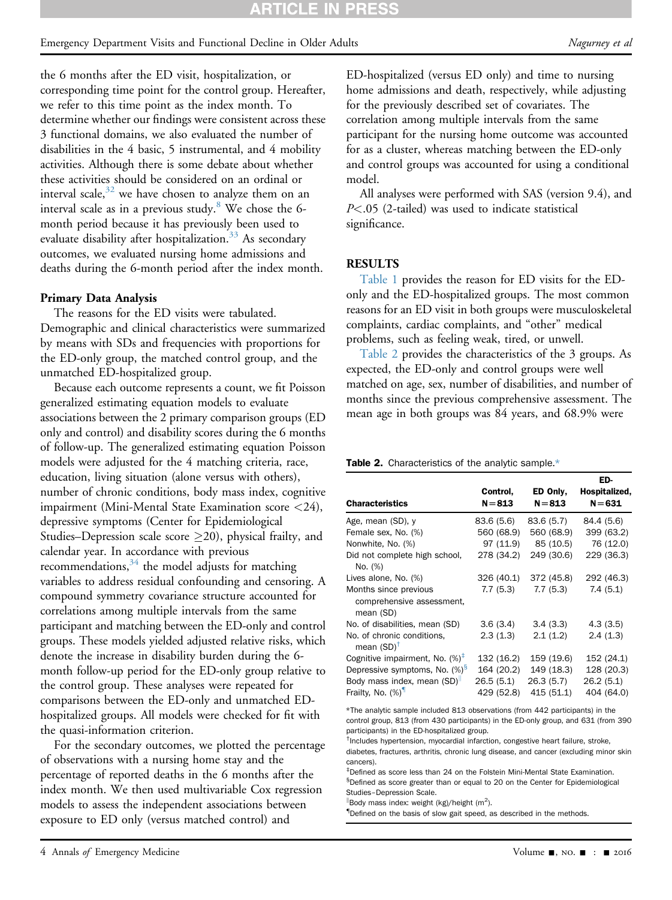## Emergency Department Visits and Functional Decline in Older Adults Nagurney et al. Nagurney et al.

the 6 months after the ED visit, hospitalization, or corresponding time point for the control group. Hereafter, we refer to this time point as the index month. To determine whether our findings were consistent across these 3 functional domains, we also evaluated the number of disabilities in the 4 basic, 5 instrumental, and 4 mobility activities. Although there is some debate about whether these activities should be considered on an ordinal or interval scale, $32$  we have chosen to analyze them on an interval scale as in a previous study. $8$  We chose the 6month period because it has previously been used to evaluate disability after hospitalization.<sup>33</sup> As secondary outcomes, we evaluated nursing home admissions and deaths during the 6-month period after the index month.

#### Primary Data Analysis

The reasons for the ED visits were tabulated. Demographic and clinical characteristics were summarized by means with SDs and frequencies with proportions for the ED-only group, the matched control group, and the unmatched ED-hospitalized group.

Because each outcome represents a count, we fit Poisson generalized estimating equation models to evaluate associations between the 2 primary comparison groups (ED only and control) and disability scores during the 6 months of follow-up. The generalized estimating equation Poisson models were adjusted for the 4 matching criteria, race, education, living situation (alone versus with others), number of chronic conditions, body mass index, cognitive impairment (Mini-Mental State Examination score <24), depressive symptoms (Center for Epidemiological Studies–Depression scale score  $\geq$ 20), physical frailty, and calendar year. In accordance with previous recommendations,  $34$  the model adjusts for matching variables to address residual confounding and censoring. A compound symmetry covariance structure accounted for correlations among multiple intervals from the same participant and matching between the ED-only and control groups. These models yielded adjusted relative risks, which denote the increase in disability burden during the 6 month follow-up period for the ED-only group relative to the control group. These analyses were repeated for comparisons between the ED-only and unmatched EDhospitalized groups. All models were checked for fit with the quasi-information criterion.

For the secondary outcomes, we plotted the percentage of observations with a nursing home stay and the percentage of reported deaths in the 6 months after the index month. We then used multivariable Cox regression models to assess the independent associations between exposure to ED only (versus matched control) and

ED-hospitalized (versus ED only) and time to nursing home admissions and death, respectively, while adjusting for the previously described set of covariates. The correlation among multiple intervals from the same participant for the nursing home outcome was accounted for as a cluster, whereas matching between the ED-only and control groups was accounted for using a conditional model.

All analyses were performed with SAS (version 9.4), and  $P<.05$  (2-tailed) was used to indicate statistical significance.

## RESULTS

[Table 1](#page-2-0) provides the reason for ED visits for the EDonly and the ED-hospitalized groups. The most common reasons for an ED visit in both groups were musculoskeletal complaints, cardiac complaints, and "other" medical problems, such as feeling weak, tired, or unwell.

[Table 2](#page-3-0) provides the characteristics of the 3 groups. As expected, the ED-only and control groups were well matched on age, sex, number of disabilities, and number of months since the previous comprehensive assessment. The mean age in both groups was 84 years, and 68.9% were

<span id="page-3-0"></span>

|  | <b>Table 2.</b> Characteristics of the analytic sample * |  |  |  |
|--|----------------------------------------------------------|--|--|--|
|--|----------------------------------------------------------|--|--|--|

| <b>Characteristics</b>                                          | Control,<br>$N = 813$ | ED Only,<br>$N = 813$ | ED-<br>Hospitalized,<br>$N = 631$ |
|-----------------------------------------------------------------|-----------------------|-----------------------|-----------------------------------|
| Age, mean (SD), y                                               | 83.6 (5.6)            | 83.6 (5.7)            | 84.4 (5.6)                        |
| Female sex, No. (%)                                             | 560 (68.9)            | 560 (68.9)            | 399 (63.2)                        |
| Nonwhite, No. (%)                                               | 97 (11.9)             | 85 (10.5)             | 76 (12.0)                         |
| Did not complete high school,<br>No. (%)                        | 278 (34.2)            | 249 (30.6)            | 229 (36.3)                        |
| Lives alone, No. (%)                                            | 326 (40.1)            | 372 (45.8)            | 292 (46.3)                        |
| Months since previous<br>comprehensive assessment,<br>mean (SD) | 7.7(5.3)              | 7.7(5.3)              | 7.4(5.1)                          |
| No. of disabilities, mean (SD)                                  | 3.6(3.4)              | 3.4(3.3)              | 4.3(3.5)                          |
| No. of chronic conditions,<br>mean $(SD)^{\dagger}$             | 2.3(1.3)              | 2.1(1.2)              | 2.4(1.3)                          |
| Cognitive impairment, No. $(\%)^{\dagger}$                      | 132 (16.2)            | 159 (19.6)            | 152 (24.1)                        |
| Depressive symptoms, No. (%) <sup>§</sup>                       | 164 (20.2)            | 149 (18.3)            | 128 (20.3)                        |
| Body mass index, mean (SD)                                      | 26.5(5.1)             | 26.3(5.7)             | 26.2(5.1)                         |
| Frailty, No. (%) <sup>1</sup>                                   | 429 (52.8)            | 415 (51.1)            | 404 (64.0)                        |

<span id="page-3-1"></span>\*The analytic sample included 813 observations (from 442 participants) in the control group, 813 (from 430 participants) in the ED-only group, and 631 (from 390 participants) in the ED-hospitalized group.

<span id="page-3-2"></span>† Includes hypertension, myocardial infarction, congestive heart failure, stroke, diabetes, fractures, arthritis, chronic lung disease, and cancer (excluding minor skin cancers).

<span id="page-3-4"></span><span id="page-3-3"></span>‡ Defined as score less than 24 on the Folstein Mini-Mental State Examination. § Defined as score greater than or equal to 20 on the Center for Epidemiological Studies–Depression Scale.

 $\frac{1}{2}$ Body mass index: weight (kg)/height (m<sup>2</sup>).

{ Defined on the basis of slow gait speed, as described in the methods.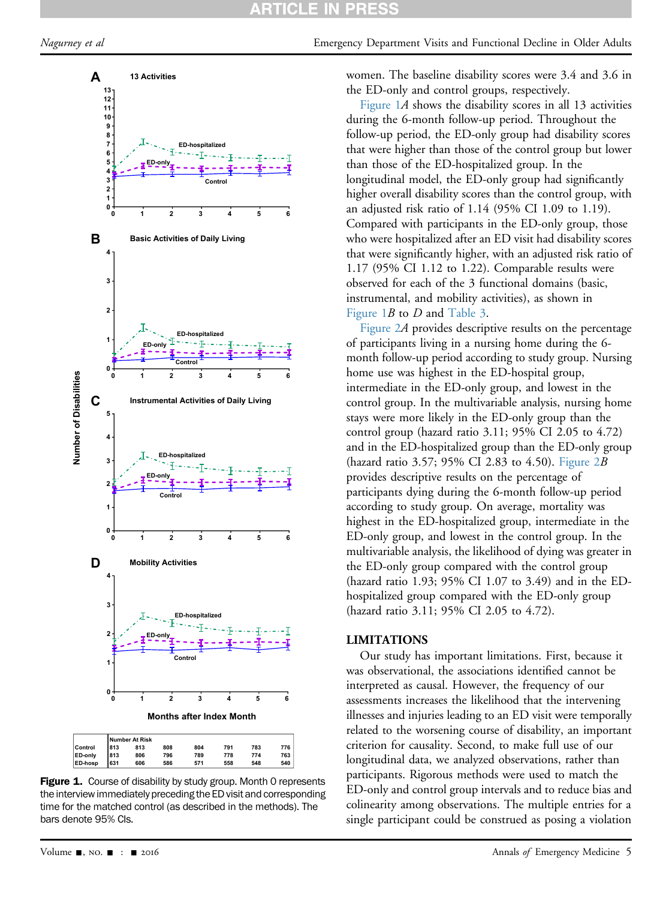<span id="page-4-0"></span>Nagurney et al **Emergency Department Visits and Functional Decline in Older Adults** 



Figure 1. Course of disability by study group. Month 0 represents the interview immediately preceding the ED visit and corresponding time for the matched control (as described in the methods). The bars denote 95% CIs.

women. The baseline disability scores were 3.4 and 3.6 in the ED-only and control groups, respectively.

[Figure 1](#page-4-0)A shows the disability scores in all 13 activities during the 6-month follow-up period. Throughout the follow-up period, the ED-only group had disability scores that were higher than those of the control group but lower than those of the ED-hospitalized group. In the longitudinal model, the ED-only group had significantly higher overall disability scores than the control group, with an adjusted risk ratio of 1.14 (95% CI 1.09 to 1.19). Compared with participants in the ED-only group, those who were hospitalized after an ED visit had disability scores that were significantly higher, with an adjusted risk ratio of 1.17 (95% CI 1.12 to 1.22). Comparable results were observed for each of the 3 functional domains (basic, instrumental, and mobility activities), as shown in [Figure 1](#page-4-0)B to D and [Table 3](#page-5-0).

[Figure 2](#page-5-1)A provides descriptive results on the percentage of participants living in a nursing home during the 6 month follow-up period according to study group. Nursing home use was highest in the ED-hospital group, intermediate in the ED-only group, and lowest in the control group. In the multivariable analysis, nursing home stays were more likely in the ED-only group than the control group (hazard ratio 3.11; 95% CI 2.05 to 4.72) and in the ED-hospitalized group than the ED-only group (hazard ratio 3.57; 95% CI 2.83 to 4.50). Figure  $2B$ provides descriptive results on the percentage of participants dying during the 6-month follow-up period according to study group. On average, mortality was highest in the ED-hospitalized group, intermediate in the ED-only group, and lowest in the control group. In the multivariable analysis, the likelihood of dying was greater in the ED-only group compared with the control group (hazard ratio 1.93; 95% CI 1.07 to 3.49) and in the EDhospitalized group compared with the ED-only group (hazard ratio 3.11; 95% CI 2.05 to 4.72).

#### LIMITATIONS

Our study has important limitations. First, because it was observational, the associations identified cannot be interpreted as causal. However, the frequency of our assessments increases the likelihood that the intervening illnesses and injuries leading to an ED visit were temporally related to the worsening course of disability, an important criterion for causality. Second, to make full use of our longitudinal data, we analyzed observations, rather than participants. Rigorous methods were used to match the ED-only and control group intervals and to reduce bias and colinearity among observations. The multiple entries for a single participant could be construed as posing a violation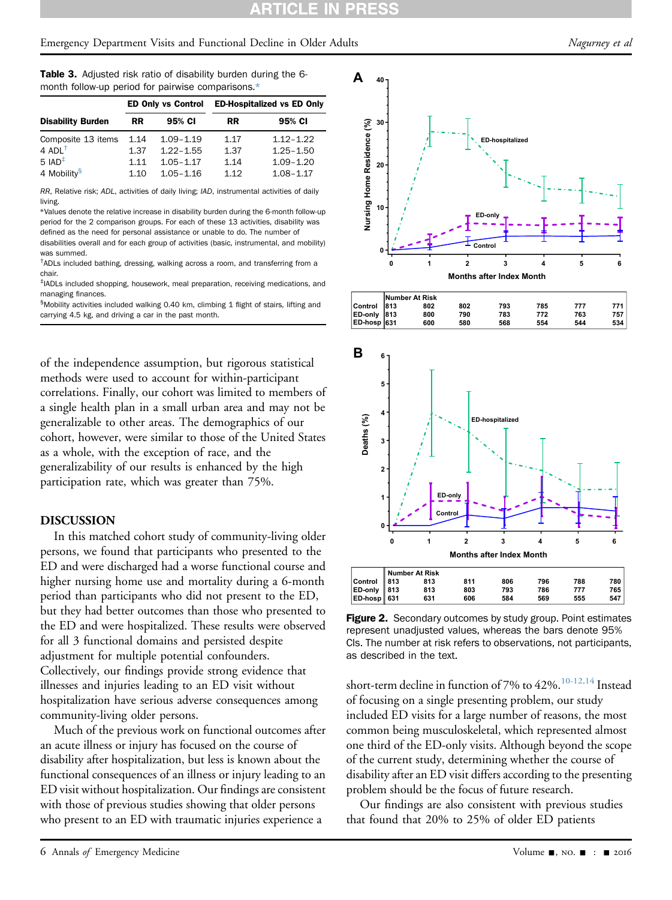| <b>Table 3.</b> Adjusted risk ratio of disability burden during the 6- |  |  |  |  |  |
|------------------------------------------------------------------------|--|--|--|--|--|
| month follow-up period for pairwise comparisons.*                      |  |  |  |  |  |

| <b>ED Only vs Control</b> |               |           | <b>ED-Hospitalized vs ED Only</b> |  |  |
|---------------------------|---------------|-----------|-----------------------------------|--|--|
| RR.                       | 95% CI        | <b>RR</b> | 95% CI                            |  |  |
| 1.14                      | $1.09 - 1.19$ | 1.17      | $1.12 - 1.22$                     |  |  |
| 1.37                      | $1.22 - 1.55$ | 1.37      | $1.25 - 1.50$                     |  |  |
| 1.11                      | $1.05 - 1.17$ | 1.14      | $1.09 - 1.20$                     |  |  |
| 1.10                      | $1.05 - 1.16$ | 1 1 2     | $1.08 - 1.17$                     |  |  |
|                           |               |           |                                   |  |  |

<span id="page-5-0"></span>RR, Relative risk; ADL, activities of daily living; IAD, instrumental activities of daily living.

<span id="page-5-2"></span>\*Values denote the relative increase in disability burden during the 6-month follow-up period for the 2 comparison groups. For each of these 13 activities, disability was defined as the need for personal assistance or unable to do. The number of

disabilities overall and for each group of activities (basic, instrumental, and mobility) was summed.

<span id="page-5-3"></span><sup>†</sup>ADLs included bathing, dressing, walking across a room, and transferring from a chair.

<span id="page-5-4"></span>‡ IADLs included shopping, housework, meal preparation, receiving medications, and managing finances.

<span id="page-5-5"></span><sup>§</sup>Mobility activities included walking 0.40 km, climbing 1 flight of stairs, lifting and carrying 4.5 kg, and driving a car in the past month.

of the independence assumption, but rigorous statistical methods were used to account for within-participant correlations. Finally, our cohort was limited to members of a single health plan in a small urban area and may not be generalizable to other areas. The demographics of our cohort, however, were similar to those of the United States as a whole, with the exception of race, and the generalizability of our results is enhanced by the high participation rate, which was greater than 75%.

#### DISCUSSION

In this matched cohort study of community-living older persons, we found that participants who presented to the ED and were discharged had a worse functional course and higher nursing home use and mortality during a 6-month period than participants who did not present to the ED, but they had better outcomes than those who presented to the ED and were hospitalized. These results were observed for all 3 functional domains and persisted despite adjustment for multiple potential confounders. Collectively, our findings provide strong evidence that illnesses and injuries leading to an ED visit without hospitalization have serious adverse consequences among community-living older persons.

Much of the previous work on functional outcomes after an acute illness or injury has focused on the course of disability after hospitalization, but less is known about the functional consequences of an illness or injury leading to an ED visit without hospitalization. Our findings are consistent with those of previous studies showing that older persons who present to an ED with traumatic injuries experience a

<span id="page-5-1"></span>

**Figure 2.** Secondary outcomes by study group. Point estimates represent unadjusted values, whereas the bars denote 95% CIs. The number at risk refers to observations, not participants, as described in the text.

short-term decline in function of 7% to 42%.  $^{10-12,14}$  Instead of focusing on a single presenting problem, our study included ED visits for a large number of reasons, the most common being musculoskeletal, which represented almost one third of the ED-only visits. Although beyond the scope of the current study, determining whether the course of disability after an ED visit differs according to the presenting problem should be the focus of future research.

Our findings are also consistent with previous studies that found that 20% to 25% of older ED patients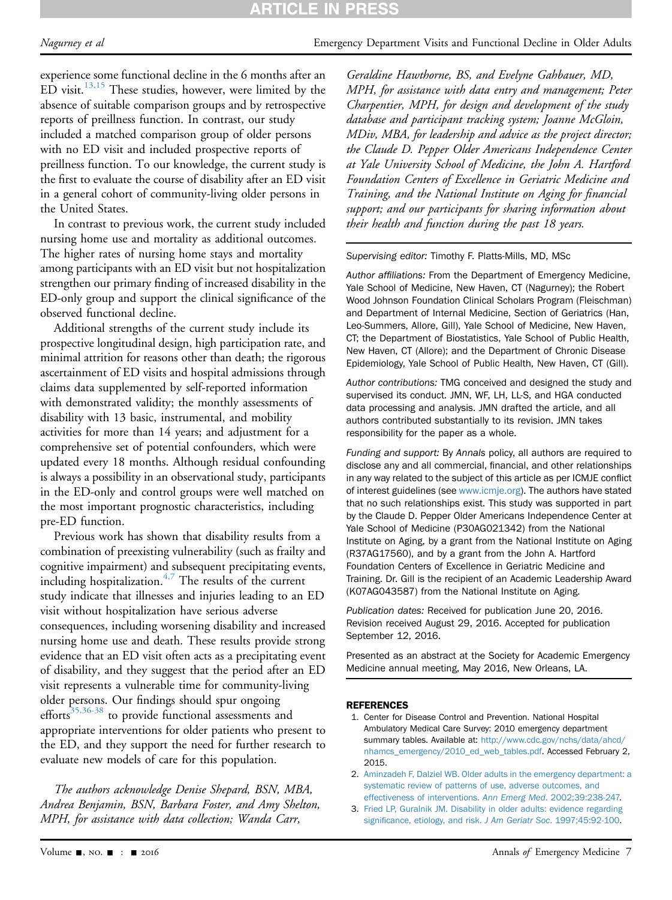# **ARTICLE IN PRES**

# Nagurney et al **Emergency Department Visits and Functional Decline in Older Adults**

experience some functional decline in the 6 months after an  $ED$  visit.<sup>13,15</sup> These studies, however, were limited by the absence of suitable comparison groups and by retrospective reports of preillness function. In contrast, our study included a matched comparison group of older persons with no ED visit and included prospective reports of preillness function. To our knowledge, the current study is the first to evaluate the course of disability after an ED visit in a general cohort of community-living older persons in the United States.

In contrast to previous work, the current study included nursing home use and mortality as additional outcomes. The higher rates of nursing home stays and mortality among participants with an ED visit but not hospitalization strengthen our primary finding of increased disability in the ED-only group and support the clinical significance of the observed functional decline.

Additional strengths of the current study include its prospective longitudinal design, high participation rate, and minimal attrition for reasons other than death; the rigorous ascertainment of ED visits and hospital admissions through claims data supplemented by self-reported information with demonstrated validity; the monthly assessments of disability with 13 basic, instrumental, and mobility activities for more than 14 years; and adjustment for a comprehensive set of potential confounders, which were updated every 18 months. Although residual confounding is always a possibility in an observational study, participants in the ED-only and control groups were well matched on the most important prognostic characteristics, including pre-ED function.

Previous work has shown that disability results from a combination of preexisting vulnerability (such as frailty and cognitive impairment) and subsequent precipitating events, including hospitalization.[4,7](#page-7-1) The results of the current study indicate that illnesses and injuries leading to an ED visit without hospitalization have serious adverse consequences, including worsening disability and increased nursing home use and death. These results provide strong evidence that an ED visit often acts as a precipitating event of disability, and they suggest that the period after an ED visit represents a vulnerable time for community-living older persons. Our findings should spur ongoing efforts<sup>35,36-38</sup> to provide functional assessments and appropriate interventions for older patients who present to the ED, and they support the need for further research to evaluate new models of care for this population.

The authors acknowledge Denise Shepard, BSN, MBA, Andrea Benjamin, BSN, Barbara Foster, and Amy Shelton, MPH, for assistance with data collection; Wanda Carr,

Geraldine Hawthorne, BS, and Evelyne Gahbauer, MD, MPH, for assistance with data entry and management; Peter Charpentier, MPH, for design and development of the study database and participant tracking system; Joanne McGloin, MDiv, MBA, for leadership and advice as the project director; the Claude D. Pepper Older Americans Independence Center at Yale University School of Medicine, the John A. Hartford Foundation Centers of Excellence in Geriatric Medicine and Training, and the National Institute on Aging for financial support; and our participants for sharing information about their health and function during the past 18 years.

#### Supervising editor: Timothy F. Platts-Mills, MD, MSc

Author affiliations: From the Department of Emergency Medicine, Yale School of Medicine, New Haven, CT (Nagurney); the Robert Wood Johnson Foundation Clinical Scholars Program (Fleischman) and Department of Internal Medicine, Section of Geriatrics (Han, Leo-Summers, Allore, Gill), Yale School of Medicine, New Haven, CT; the Department of Biostatistics, Yale School of Public Health, New Haven, CT (Allore); and the Department of Chronic Disease Epidemiology, Yale School of Public Health, New Haven, CT (Gill).

Author contributions: TMG conceived and designed the study and supervised its conduct. JMN, WF, LH, LL-S, and HGA conducted data processing and analysis. JMN drafted the article, and all authors contributed substantially to its revision. JMN takes responsibility for the paper as a whole.

Funding and support: By Annals policy, all authors are required to disclose any and all commercial, financial, and other relationships in any way related to the subject of this article as per ICMJE conflict of interest guidelines (see [www.icmje.org](http://www.icmje.org/)). The authors have stated that no such relationships exist. This study was supported in part by the Claude D. Pepper Older Americans Independence Center at Yale School of Medicine (P30AG021342) from the National Institute on Aging, by a grant from the National Institute on Aging (R37AG17560), and by a grant from the John A. Hartford Foundation Centers of Excellence in Geriatric Medicine and Training. Dr. Gill is the recipient of an Academic Leadership Award (K07AG043587) from the National Institute on Aging.

Publication dates: Received for publication June 20, 2016. Revision received August 29, 2016. Accepted for publication September 12, 2016.

Presented as an abstract at the Society for Academic Emergency Medicine annual meeting, May 2016, New Orleans, LA.

## <span id="page-6-0"></span>REFERENCES

- 1. Center for Disease Control and Prevention. National Hospital Ambulatory Medical Care Survey: 2010 emergency department summary tables. Available at: [http://www.cdc.gov/nchs/data/ahcd/](http://www.cdc.gov/nchs/data/ahcd/nhamcs_emergency/2010_ed_web_tables.pdf) [nhamcs\\_emergency/2010\\_ed\\_web\\_tables.pdf.](http://www.cdc.gov/nchs/data/ahcd/nhamcs_emergency/2010_ed_web_tables.pdf) Accessed February 2, 2015.
- <span id="page-6-1"></span>2. [Aminzadeh F, Dalziel WB. Older adults in the emergency department: a](http://refhub.elsevier.com/S0196-0644(16)31075-7/sref2) [systematic review of patterns of use, adverse outcomes, and](http://refhub.elsevier.com/S0196-0644(16)31075-7/sref2) [effectiveness of interventions.](http://refhub.elsevier.com/S0196-0644(16)31075-7/sref2) Ann Emerg Med. 2002;39:238-247.
- <span id="page-6-2"></span>3. [Fried LP, Guralnik JM. Disability in older adults: evidence regarding](http://refhub.elsevier.com/S0196-0644(16)31075-7/sref3) signifi[cance, etiology, and risk.](http://refhub.elsevier.com/S0196-0644(16)31075-7/sref3) J Am Geriatr Soc. 1997;45:92-100.